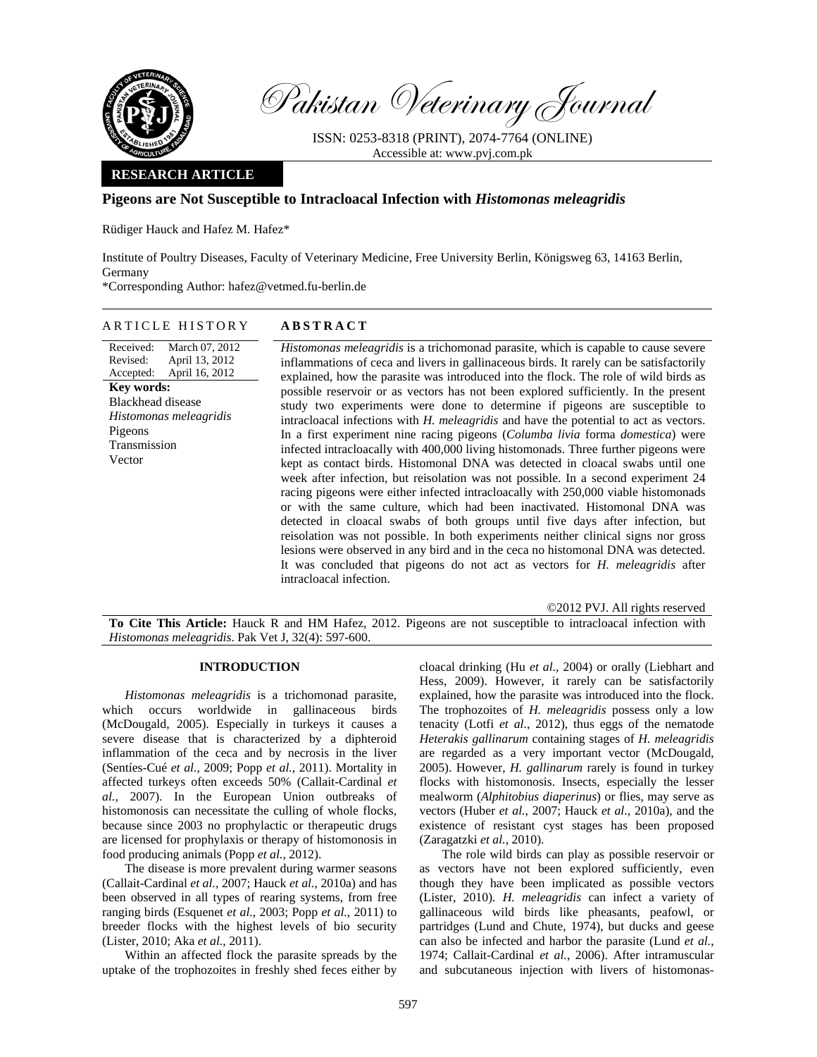

Pakistan Veterinary Journal

ISSN: 0253-8318 (PRINT), 2074-7764 (ONLINE) Accessible at: www.pvj.com.pk

# **RESEARCH ARTICLE**

# **Pigeons are Not Susceptible to Intracloacal Infection with** *Histomonas meleagridis*

Rüdiger Hauck and Hafez M. Hafez\*

Institute of Poultry Diseases, Faculty of Veterinary Medicine, Free University Berlin, Königsweg 63, 14163 Berlin, Germany

\*Corresponding Author: hafez@vetmed.fu-berlin.de

#### ARTICLE HISTORY **ABSTRACT**

Received: Revised: Accepted: March 07, 2012 April 13, 2012 April 16, 2012 **Key words:**  Blackhead disease *Histomonas meleagridis* Pigeons Transmission Vector

*Histomonas meleagridis* is a trichomonad parasite, which is capable to cause severe inflammations of ceca and livers in gallinaceous birds. It rarely can be satisfactorily explained, how the parasite was introduced into the flock. The role of wild birds as possible reservoir or as vectors has not been explored sufficiently. In the present study two experiments were done to determine if pigeons are susceptible to intracloacal infections with *H. meleagridis* and have the potential to act as vectors. In a first experiment nine racing pigeons (*Columba livia* forma *domestica*) were infected intracloacally with 400,000 living histomonads. Three further pigeons were kept as contact birds. Histomonal DNA was detected in cloacal swabs until one week after infection, but reisolation was not possible. In a second experiment 24 racing pigeons were either infected intracloacally with 250,000 viable histomonads or with the same culture, which had been inactivated. Histomonal DNA was detected in cloacal swabs of both groups until five days after infection, but reisolation was not possible. In both experiments neither clinical signs nor gross lesions were observed in any bird and in the ceca no histomonal DNA was detected. It was concluded that pigeons do not act as vectors for *H. meleagridis* after intracloacal infection.

©2012 PVJ. All rights reserved

**To Cite This Article:** Hauck R and HM Hafez, 2012. Pigeons are not susceptible to intracloacal infection with *Histomonas meleagridis*. Pak Vet J, 32(4): 597-600.

### **INTRODUCTION**

*Histomonas meleagridis* is a trichomonad parasite, which occurs worldwide in gallinaceous birds (McDougald, 2005). Especially in turkeys it causes a severe disease that is characterized by a diphteroid inflammation of the ceca and by necrosis in the liver (Sentíes-Cué *et al.*, 2009; Popp *et al.*, 2011). Mortality in affected turkeys often exceeds 50% (Callait-Cardinal *et al.*, 2007). In the European Union outbreaks of histomonosis can necessitate the culling of whole flocks, because since 2003 no prophylactic or therapeutic drugs are licensed for prophylaxis or therapy of histomonosis in food producing animals (Popp *et al.*, 2012).

The disease is more prevalent during warmer seasons (Callait-Cardinal *et al.*, 2007; Hauck *et al.*, 2010a) and has been observed in all types of rearing systems, from free ranging birds (Esquenet *et al.*, 2003; Popp *et al.*, 2011) to breeder flocks with the highest levels of bio security (Lister, 2010; Aka *et al.*, 2011).

Within an affected flock the parasite spreads by the uptake of the trophozoites in freshly shed feces either by

cloacal drinking (Hu *et al.*, 2004) or orally (Liebhart and Hess, 2009). However, it rarely can be satisfactorily explained, how the parasite was introduced into the flock. The trophozoites of *H. meleagridis* possess only a low tenacity (Lotfi *et al.*, 2012), thus eggs of the nematode *Heterakis gallinarum* containing stages of *H. meleagridis* are regarded as a very important vector (McDougald, 2005). However, *H. gallinarum* rarely is found in turkey flocks with histomonosis. Insects, especially the lesser mealworm (*Alphitobius diaperinus*) or flies, may serve as vectors (Huber *et al.*, 2007; Hauck *et al.*, 2010a), and the existence of resistant cyst stages has been proposed (Zaragatzki *et al.*, 2010).

The role wild birds can play as possible reservoir or as vectors have not been explored sufficiently, even though they have been implicated as possible vectors (Lister, 2010). *H. meleagridis* can infect a variety of gallinaceous wild birds like pheasants, peafowl, or partridges (Lund and Chute, 1974), but ducks and geese can also be infected and harbor the parasite (Lund *et al.*, 1974; Callait-Cardinal *et al.*, 2006). After intramuscular and subcutaneous injection with livers of histomonas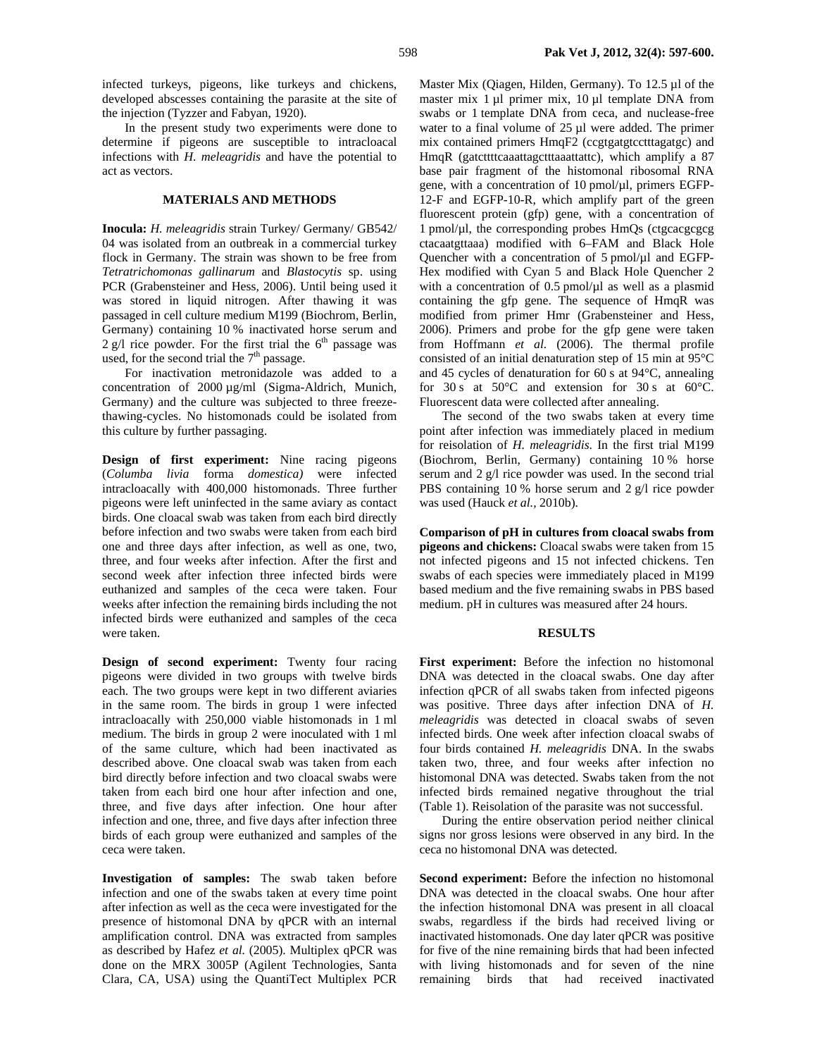infected turkeys, pigeons, like turkeys and chickens, developed abscesses containing the parasite at the site of the injection (Tyzzer and Fabyan, 1920).

In the present study two experiments were done to determine if pigeons are susceptible to intracloacal infections with *H. meleagridis* and have the potential to act as vectors.

# **MATERIALS AND METHODS**

**Inocula:** *H. meleagridis* strain Turkey/ Germany/ GB542/ 04 was isolated from an outbreak in a commercial turkey flock in Germany. The strain was shown to be free from *Tetratrichomonas gallinarum* and *Blastocytis* sp. using PCR (Grabensteiner and Hess, 2006). Until being used it was stored in liquid nitrogen. After thawing it was passaged in cell culture medium M199 (Biochrom, Berlin, Germany) containing 10 % inactivated horse serum and  $2$  g/l rice powder. For the first trial the  $6<sup>th</sup>$  passage was used, for the second trial the  $7<sup>th</sup>$  passage.

For inactivation metronidazole was added to a concentration of 2000 µg/ml (Sigma-Aldrich, Munich, Germany) and the culture was subjected to three freezethawing-cycles. No histomonads could be isolated from this culture by further passaging.

**Design of first experiment:** Nine racing pigeons (*Columba livia* forma *domestica)* were infected intracloacally with 400,000 histomonads. Three further pigeons were left uninfected in the same aviary as contact birds. One cloacal swab was taken from each bird directly before infection and two swabs were taken from each bird one and three days after infection, as well as one, two, three, and four weeks after infection. After the first and second week after infection three infected birds were euthanized and samples of the ceca were taken. Four weeks after infection the remaining birds including the not infected birds were euthanized and samples of the ceca were taken.

**Design of second experiment:** Twenty four racing pigeons were divided in two groups with twelve birds each. The two groups were kept in two different aviaries in the same room. The birds in group 1 were infected intracloacally with 250,000 viable histomonads in 1 ml medium. The birds in group 2 were inoculated with 1 ml of the same culture, which had been inactivated as described above. One cloacal swab was taken from each bird directly before infection and two cloacal swabs were taken from each bird one hour after infection and one, three, and five days after infection. One hour after infection and one, three, and five days after infection three birds of each group were euthanized and samples of the ceca were taken.

**Investigation of samples:** The swab taken before infection and one of the swabs taken at every time point after infection as well as the ceca were investigated for the presence of histomonal DNA by qPCR with an internal amplification control. DNA was extracted from samples as described by Hafez *et al.* (2005). Multiplex qPCR was done on the MRX 3005P (Agilent Technologies, Santa Clara, CA, USA) using the QuantiTect Multiplex PCR

Master Mix (Qiagen, Hilden, Germany). To 12.5 µl of the master mix 1 ul primer mix, 10 ul template DNA from swabs or 1 template DNA from ceca, and nuclease-free water to a final volume of 25 µl were added. The primer mix contained primers HmqF2 (ccgtgatgtcctttagatgc) and HmqR (gatcttttcaaattagctttaaattattc), which amplify a 87 base pair fragment of the histomonal ribosomal RNA gene, with a concentration of 10 pmol/µl, primers EGFP-12-F and EGFP-10-R, which amplify part of the green fluorescent protein (gfp) gene, with a concentration of  $1$  pmol/ $\mu$ l, the corresponding probes HmQs (ctgcacgcgcg ctacaatgttaaa) modified with 6–FAM and Black Hole Quencher with a concentration of 5 pmol/ $\mu$ l and EGFP-Hex modified with Cyan 5 and Black Hole Quencher 2 with a concentration of  $0.5$  pmol/ $\mu$ l as well as a plasmid containing the gfp gene. The sequence of HmqR was modified from primer Hmr (Grabensteiner and Hess, 2006). Primers and probe for the gfp gene were taken from Hoffmann *et al.* (2006). The thermal profile consisted of an initial denaturation step of 15 min at 95°C and 45 cycles of denaturation for 60 s at 94°C, annealing for 30 s at  $50^{\circ}$ C and extension for 30 s at  $60^{\circ}$ C. Fluorescent data were collected after annealing.

The second of the two swabs taken at every time point after infection was immediately placed in medium for reisolation of *H. meleagridis*. In the first trial M199 (Biochrom, Berlin, Germany) containing 10 % horse serum and 2 g/l rice powder was used. In the second trial PBS containing 10 % horse serum and 2 g/l rice powder was used (Hauck *et al.*, 2010b).

**Comparison of pH in cultures from cloacal swabs from pigeons and chickens:** Cloacal swabs were taken from 15 not infected pigeons and 15 not infected chickens. Ten swabs of each species were immediately placed in M199 based medium and the five remaining swabs in PBS based medium. pH in cultures was measured after 24 hours.

#### **RESULTS**

**First experiment:** Before the infection no histomonal DNA was detected in the cloacal swabs. One day after infection qPCR of all swabs taken from infected pigeons was positive. Three days after infection DNA of *H. meleagridis* was detected in cloacal swabs of seven infected birds. One week after infection cloacal swabs of four birds contained *H. meleagridis* DNA. In the swabs taken two, three, and four weeks after infection no histomonal DNA was detected. Swabs taken from the not infected birds remained negative throughout the trial (Table 1). Reisolation of the parasite was not successful.

During the entire observation period neither clinical signs nor gross lesions were observed in any bird. In the ceca no histomonal DNA was detected.

**Second experiment:** Before the infection no histomonal DNA was detected in the cloacal swabs. One hour after the infection histomonal DNA was present in all cloacal swabs, regardless if the birds had received living or inactivated histomonads. One day later qPCR was positive for five of the nine remaining birds that had been infected with living histomonads and for seven of the nine remaining birds that had received inactivated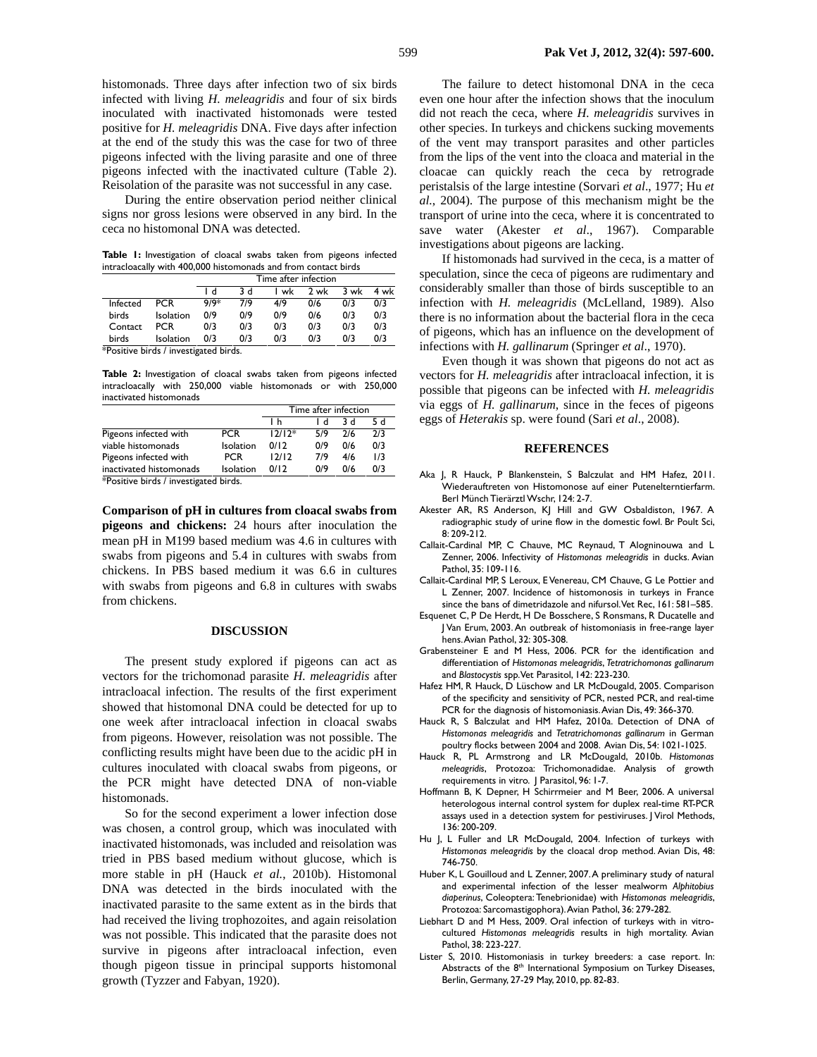histomonads. Three days after infection two of six birds infected with living *H. meleagridis* and four of six birds inoculated with inactivated histomonads were tested positive for *H. meleagridis* DNA. Five days after infection at the end of the study this was the case for two of three pigeons infected with the living parasite and one of three pigeons infected with the inactivated culture (Table 2). Reisolation of the parasite was not successful in any case.

During the entire observation period neither clinical signs nor gross lesions were observed in any bird. In the ceca no histomonal DNA was detected.

**Table 1:** Investigation of cloacal swabs taken from pigeons infected intracloacally with 400,000 histomonads and from contact birds

|          |                                       | Time after infection |     |      |      |      |      |  |  |  |
|----------|---------------------------------------|----------------------|-----|------|------|------|------|--|--|--|
|          |                                       | Ιd                   | 3 d | I wk | 7 wk | 3 wk | 4 wk |  |  |  |
| Infected | <b>PCR</b>                            | $9/9*$               | 7/9 | 4/9  | 0/6  | 0/3  | 0/3  |  |  |  |
| birds    | Isolation                             | 0/9                  | 0/9 | 0/9  | 0/6  | 0/3  | 0/3  |  |  |  |
| Contact  | <b>PCR</b>                            | 0/3                  | 0/3 | 0/3  | 0/3  | 0/3  | 0/3  |  |  |  |
| birds    | Isolation                             | 0/3                  | 0/3 | 0/3  | 0/3  | 0/3  | 0/3  |  |  |  |
|          | *Positive birds / investigated birds. |                      |     |      |      |      |      |  |  |  |

**Table 2:** Investigation of cloacal swabs taken from pigeons infected intracloacally with 250,000 viable histomonads or with 250,000 inactivated histomonads

|                         |                  | Time after infection |     |     |      |  |  |
|-------------------------|------------------|----------------------|-----|-----|------|--|--|
|                         |                  | Ιh                   | l d | 3 d | 5 d. |  |  |
| Pigeons infected with   | <b>PCR</b>       | $12/12*$             | 5/9 | 216 | 7/3  |  |  |
| viable histomonads      | <b>Isolation</b> | 0/12                 | 0/9 | 0/6 | 0/3  |  |  |
| Pigeons infected with   | <b>PCR</b>       | 12/12                | 7/9 | 4/6 | 1/3  |  |  |
| inactivated histomonads | <b>Isolation</b> | 0/12                 | 0/9 | 0/6 | 0/3  |  |  |

\*Positive birds / investigated birds.

**Comparison of pH in cultures from cloacal swabs from pigeons and chickens:** 24 hours after inoculation the mean pH in M199 based medium was 4.6 in cultures with swabs from pigeons and 5.4 in cultures with swabs from chickens. In PBS based medium it was 6.6 in cultures with swabs from pigeons and 6.8 in cultures with swabs from chickens.

### **DISCUSSION**

The present study explored if pigeons can act as vectors for the trichomonad parasite *H. meleagridis* after intracloacal infection. The results of the first experiment showed that histomonal DNA could be detected for up to one week after intracloacal infection in cloacal swabs from pigeons. However, reisolation was not possible. The conflicting results might have been due to the acidic pH in cultures inoculated with cloacal swabs from pigeons, or the PCR might have detected DNA of non-viable histomonads.

So for the second experiment a lower infection dose was chosen, a control group, which was inoculated with inactivated histomonads, was included and reisolation was tried in PBS based medium without glucose, which is more stable in pH (Hauck *et al.*, 2010b). Histomonal DNA was detected in the birds inoculated with the inactivated parasite to the same extent as in the birds that had received the living trophozoites, and again reisolation was not possible. This indicated that the parasite does not survive in pigeons after intracloacal infection, even though pigeon tissue in principal supports histomonal growth (Tyzzer and Fabyan, 1920).

The failure to detect histomonal DNA in the ceca even one hour after the infection shows that the inoculum did not reach the ceca, where *H. meleagridis* survives in other species. In turkeys and chickens sucking movements of the vent may transport parasites and other particles from the lips of the vent into the cloaca and material in the cloacae can quickly reach the ceca by retrograde peristalsis of the large intestine (Sorvari *et al*., 1977; Hu *et al.*, 2004). The purpose of this mechanism might be the transport of urine into the ceca, where it is concentrated to save water (Akester *et al*., 1967). Comparable investigations about pigeons are lacking.

If histomonads had survived in the ceca, is a matter of speculation, since the ceca of pigeons are rudimentary and considerably smaller than those of birds susceptible to an infection with *H. meleagridis* (McLelland, 1989). Also there is no information about the bacterial flora in the ceca of pigeons, which has an influence on the development of infections with *H. gallinarum* (Springer *et al*., 1970).

Even though it was shown that pigeons do not act as vectors for *H. meleagridis* after intracloacal infection, it is possible that pigeons can be infected with *H. meleagridis* via eggs of *H. gallinarum*, since in the feces of pigeons eggs of *Heterakis* sp. were found (Sari *et al*., 2008).

#### **REFERENCES**

- Aka J, R Hauck, P Blankenstein, S Balczulat and HM Hafez, 2011. Wiederauftreten von Histomonose auf einer Putenelterntierfarm. Berl Münch Tierärztl Wschr, 124: 2-7.
- Akester AR, RS Anderson, KJ Hill and GW Osbaldiston, 1967. A radiographic study of urine flow in the domestic fowl. Br Poult Sci,  $8.209 - 212$
- Callait-Cardinal MP, C Chauve, MC Reynaud, T Alogninouwa and L Zenner, 2006. Infectivity of *Histomonas meleagridis* in ducks. Avian Pathol, 35: 109-116.
- Callait-Cardinal MP, S Leroux, E Venereau, CM Chauve, G Le Pottier and L Zenner, 2007. Incidence of histomonosis in turkeys in France since the bans of dimetridazole and nifursol. Vet Rec, 161: 581–585.
- Esquenet C, P De Herdt, H De Bosschere, S Ronsmans, R Ducatelle and J Van Erum, 2003. An outbreak of histomoniasis in free-range layer hens. Avian Pathol, 32: 305-308.
- Grabensteiner E and M Hess, 2006. PCR for the identification and differentiation of *Histomonas meleagridis*, *Tetratrichomonas gallinarum* and *Blastocystis* spp. Vet Parasitol, 142: 223-230.
- Hafez HM, R Hauck, D Lüschow and LR McDougald, 2005. Comparison of the specificity and sensitivity of PCR, nested PCR, and real-time PCR for the diagnosis of histomoniasis. Avian Dis, 49: 366-370.
- Hauck R, S Balczulat and HM Hafez, 2010a. Detection of DNA of *Histomonas meleagridis* and *Tetratrichomonas gallinarum* in German poultry flocks between 2004 and 2008. Avian Dis, 54: 1021-1025.
- Hauck R, PL Armstrong and LR McDougald, 2010b. *Histomonas meleagridis*, Protozoa: Trichomonadidae. Analysis of growth requirements in vitro. J Parasitol, 96: 1-7.
- Hoffmann B, K Depner, H Schirrmeier and M Beer, 2006. A universal heterologous internal control system for duplex real-time RT-PCR assays used in a detection system for pestiviruses. J Virol Methods, 136: 200-209.
- Hu J, L Fuller and LR McDougald, 2004. Infection of turkeys with *Histomonas meleagridis* by the cloacal drop method. Avian Dis, 48: 746-750.
- Huber K, L Gouilloud and L Zenner, 2007. A preliminary study of natural and experimental infection of the lesser mealworm *Alphitobius diaperinus*, Coleoptera: Tenebrionidae) with *Histomonas meleagridis*, Protozoa: Sarcomastigophora). Avian Pathol, 36: 279-282.
- Liebhart D and M Hess, 2009. Oral infection of turkeys with in vitrocultured *Histomonas meleagridis* results in high mortality. Avian Pathol, 38: 223-227.
- Lister S, 2010. Histomoniasis in turkey breeders: a case report. In: Abstracts of the 8<sup>th</sup> International Symposium on Turkey Diseases, Berlin, Germany, 27-29 May, 2010, pp. 82-83.